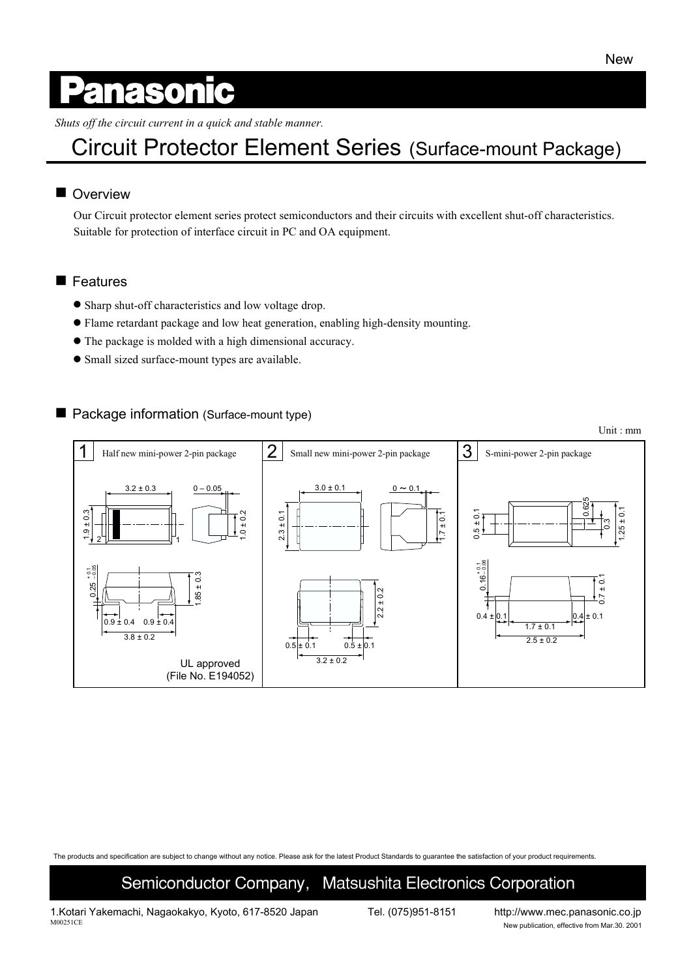Unit : mm

# anasonic

*Shuts off the circuit current in a quick and stable manner.*

## Circuit Protector Element Series (Surface-mount Package)

#### **Overview**

Our Circuit protector element series protect semiconductors and their circuits with excellent shut-off characteristics. Suitable for protection of interface circuit in PC and OA equipment.

#### **E** Features

- Sharp shut-off characteristics and low voltage drop.
- " Flame retardant package and low heat generation, enabling high-density mounting.
- " The package is molded with a high dimensional accuracy.
- Small sized surface-mount types are available.

#### ■ Package information (Surface-mount type)

1  $2 \mid$  Small new mini-power 2-pin package  $\mid 3 \mid$  S-mini-power 2-pin package Half new mini-power 2-pin package  $3.2 \pm 0.3$  $0 - 0.05$  $3.0 \pm 0.1$  0 ~ 0.1 0.4 ± 0.1 0.4 ± 0.1 0.625  $25 \pm 0.1$ 1.25 ± 0.1 1.9 ± 0.3  $1 \pm 0.2$  $0.5 \pm 0.1$  $2.3 \pm 0.1$  $7 \pm 0.1$ 0.3 2 1 + 0.06<br>+ 0.06 – 0.05  $\frac{1}{2}$  $85 \pm 0.3$ 1.85 ± 0.3  $0.7 \pm 0.1$ 0.16 0.25 2.2 ± 0.2  $0.9 \pm 0.4$  $0.9 \pm 0.4$  $1.7 \pm 0.1$  $3.8 \pm 0.2$  $2.5 \pm 0.2$  $0.5 \pm 0.1$   $0.5 \pm 0.1$  $3.2 + 0.2$ UL approved (File No. E194052)

The products and specification are subject to change without any notice. Please ask for the latest Product Standards to guarantee the satisfaction of your product requirements.

### Semiconductor Company, Matsushita Electronics Corporation

1.Kotari Yakemachi, Nagaokakyo, Kyoto, 617-8520 Japan Tel. (075)951-8151 http://www.mec.panasonic.co.jp<br>M00251CE New publication effective from Mar 30, 2001

New publication, effective from Mar.30. 2001